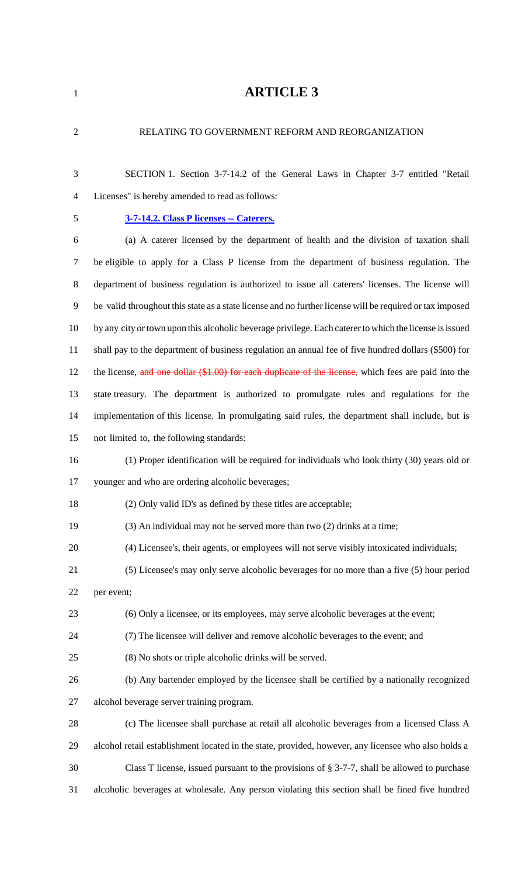# **ARTICLE 3**

| $\overline{2}$ | RELATING TO GOVERNMENT REFORM AND REORGANIZATION                                                         |
|----------------|----------------------------------------------------------------------------------------------------------|
| 3              | SECTION 1. Section 3-7-14.2 of the General Laws in Chapter 3-7 entitled "Retail                          |
| 4              | Licenses" is hereby amended to read as follows:                                                          |
| 5              | 3-7-14.2. Class P licenses -- Caterers.                                                                  |
| 6              | (a) A caterer licensed by the department of health and the division of taxation shall                    |
| 7              | be eligible to apply for a Class P license from the department of business regulation. The               |
| 8              | department of business regulation is authorized to issue all caterers' licenses. The license will        |
| 9              | be valid throughout this state as a state license and no further license will be required or tax imposed |
| 10             | by any city or town upon this alcoholic beverage privilege. Each caterer to which the license is issued  |
| 11             | shall pay to the department of business regulation an annual fee of five hundred dollars (\$500) for     |
| 12             | the license, and one dollar $(\$1.00)$ for each duplicate of the license, which fees are paid into the   |
| 13             | state treasury. The department is authorized to promulgate rules and regulations for the                 |
| 14             | implementation of this license. In promulgating said rules, the department shall include, but is         |
| 15             | not limited to, the following standards:                                                                 |
| 16             | (1) Proper identification will be required for individuals who look thirty (30) years old or             |
| 17             | younger and who are ordering alcoholic beverages;                                                        |
| 18             | (2) Only valid ID's as defined by these titles are acceptable;                                           |
| 19             | (3) An individual may not be served more than two (2) drinks at a time;                                  |
| 20             | (4) Licensee's, their agents, or employees will not serve visibly intoxicated individuals;               |
| 21             | (5) Licensee's may only serve alcoholic beverages for no more than a five (5) hour period                |
| 22             | per event;                                                                                               |
| 23             | (6) Only a licensee, or its employees, may serve alcoholic beverages at the event;                       |
| 24             | (7) The licensee will deliver and remove alcoholic beverages to the event; and                           |
| 25             | (8) No shots or triple alcoholic drinks will be served.                                                  |
| 26             | (b) Any bartender employed by the licensee shall be certified by a nationally recognized                 |
| 27             | alcohol beverage server training program.                                                                |
| 28             | (c) The licensee shall purchase at retail all alcoholic beverages from a licensed Class A                |
| 29             | alcohol retail establishment located in the state, provided, however, any licensee who also holds a      |
| 30             | Class T license, issued pursuant to the provisions of $\S 3$ -7-7, shall be allowed to purchase          |
| 31             | alcoholic beverages at wholesale. Any person violating this section shall be fined five hundred          |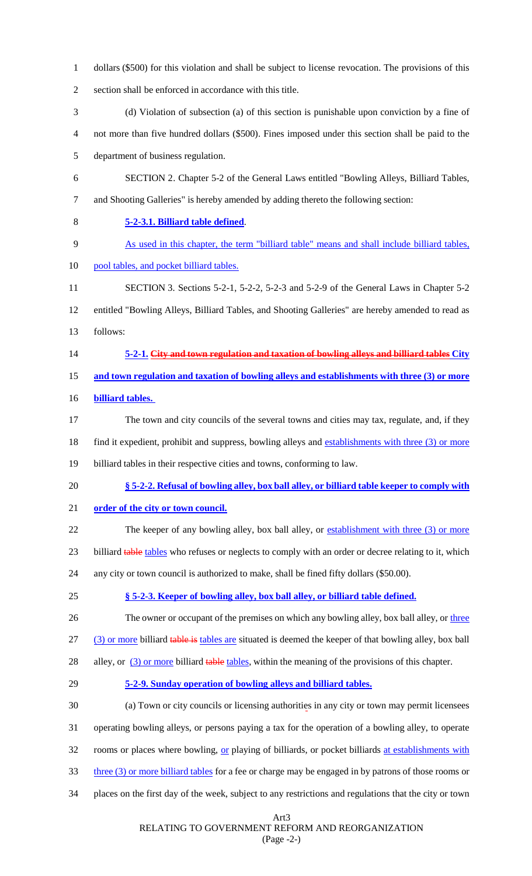- dollars (\$500) for this violation and shall be subject to license revocation. The provisions of this
- section shall be enforced in accordance with this title.
- (d) Violation of subsection (a) of this section is punishable upon conviction by a fine of not more than five hundred dollars (\$500). Fines imposed under this section shall be paid to the
- department of business regulation.
- SECTION 2. Chapter 5-2 of the General Laws entitled "Bowling Alleys, Billiard Tables, and Shooting Galleries" is hereby amended by adding thereto the following section:
- **5-2-3.1. Billiard table defined**.
- As used in this chapter, the term "billiard table" means and shall include billiard tables,
- 10 pool tables, and pocket billiard tables.
- SECTION 3. Sections 5-2-1, 5-2-2, 5-2-3 and 5-2-9 of the General Laws in Chapter 5-2 entitled "Bowling Alleys, Billiard Tables, and Shooting Galleries" are hereby amended to read as follows:
- **5-2-1. City and town regulation and taxation of bowling alleys and billiard tables City**
- **and town regulation and taxation of bowling alleys and establishments with three (3) or more**
- **billiard tables.**
- The town and city councils of the several towns and cities may tax, regulate, and, if they
- 18 find it expedient, prohibit and suppress, bowling alleys and establishments with three (3) or more
- billiard tables in their respective cities and towns, conforming to law.
- **§ 5-2-2. Refusal of bowling alley, box ball alley, or billiard table keeper to comply with**
- **order of the city or town council.**
- 22 The keeper of any bowling alley, box ball alley, or establishment with three (3) or more
- 23 billiard table tables who refuses or neglects to comply with an order or decree relating to it, which
- any city or town council is authorized to make, shall be fined fifty dollars (\$50.00).
- **§ 5-2-3. Keeper of bowling alley, box ball alley, or billiard table defined.**
- 26 The owner or occupant of the premises on which any bowling alley, box ball alley, or three
- 27 (3) or more billiard table is tables are situated is deemed the keeper of that bowling alley, box ball
- 28 alley, or (3) or more billiard table tables, within the meaning of the provisions of this chapter.
- **5-2-9. Sunday operation of bowling alleys and billiard tables.**
- (a) Town or city councils or licensing authorities in any city or town may permit licensees
- operating bowling alleys, or persons paying a tax for the operation of a bowling alley, to operate
- 32 rooms or places where bowling, or playing of billiards, or pocket billiards at establishments with
- three (3) or more billiard tables for a fee or charge may be engaged in by patrons of those rooms or
- places on the first day of the week, subject to any restrictions and regulations that the city or town

Art3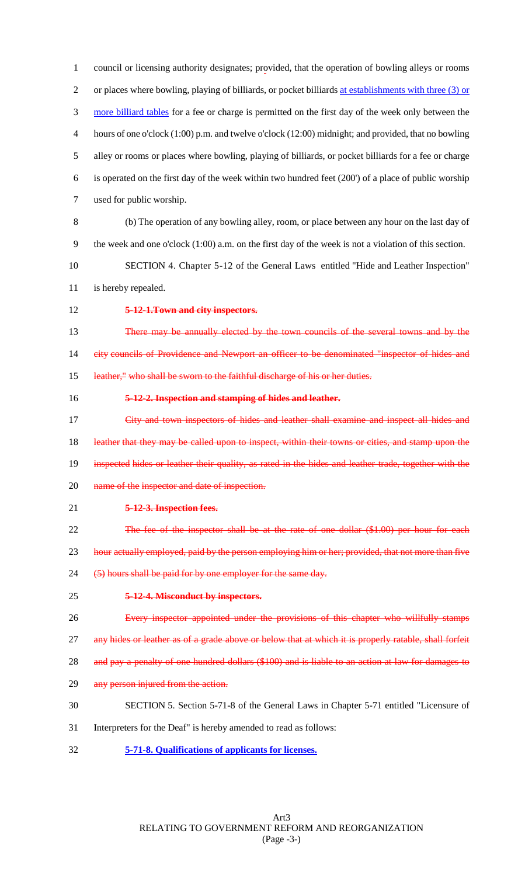council or licensing authority designates; provided, that the operation of bowling alleys or rooms or places where bowling, playing of billiards, or pocket billiards at establishments with three (3) or more billiard tables for a fee or charge is permitted on the first day of the week only between the hours of one o'clock (1:00) p.m. and twelve o'clock (12:00) midnight; and provided, that no bowling alley or rooms or places where bowling, playing of billiards, or pocket billiards for a fee or charge is operated on the first day of the week within two hundred feet (200') of a place of public worship used for public worship.

- 8 (b) The operation of any bowling alley, room, or place between any hour on the last day of 9 the week and one o'clock (1:00) a.m. on the first day of the week is not a violation of this section.
- 10 SECTION 4. Chapter 5-12 of the General Laws entitled "Hide and Leather Inspection" 11 is hereby repealed.
- 
- 12 **5-12-1.Town and city inspectors.**

13 There may be annually elected by the town councils of the several towns and by the 14 city councils of Providence and Newport an officer to be denominated "inspector of hides and 15 leather," who shall be sworn to the faithful discharge of his or her duties.

#### 16 **5-12-2. Inspection and stamping of hides and leather.**

17 City and town inspectors of hides and leather shall examine and inspect all hides and 18 leather that they may be called upon to inspect, within their towns or cities, and stamp upon the 19 inspected hides or leather their quality, as rated in the hides and leather trade, together with the 20 name of the inspector and date of inspection.

- 21 **5-12-3. Inspection fees.**
- 22 The fee of the inspector shall be at the rate of one dollar (\$1.00) per hour for each

23 hour actually employed, paid by the person employing him or her; provided, that not more than five

- 24 (5) hours shall be paid for by one employer for the same day.
- 25 **5-12-4. Misconduct by inspectors.**
- 26 Every inspector appointed under the provisions of this chapter who willfully stamps
- 27 any hides or leather as of a grade above or below that at which it is properly ratable, shall forfeit
- 28 and pay a penalty of one hundred dollars (\$100) and is liable to an action at law for damages to
- 29 any person injured from the action.
- 30 SECTION 5. Section 5-71-8 of the General Laws in Chapter 5-71 entitled "Licensure of
- 31 Interpreters for the Deaf" is hereby amended to read as follows:
- 32 **5-71-8. Qualifications of applicants for licenses.**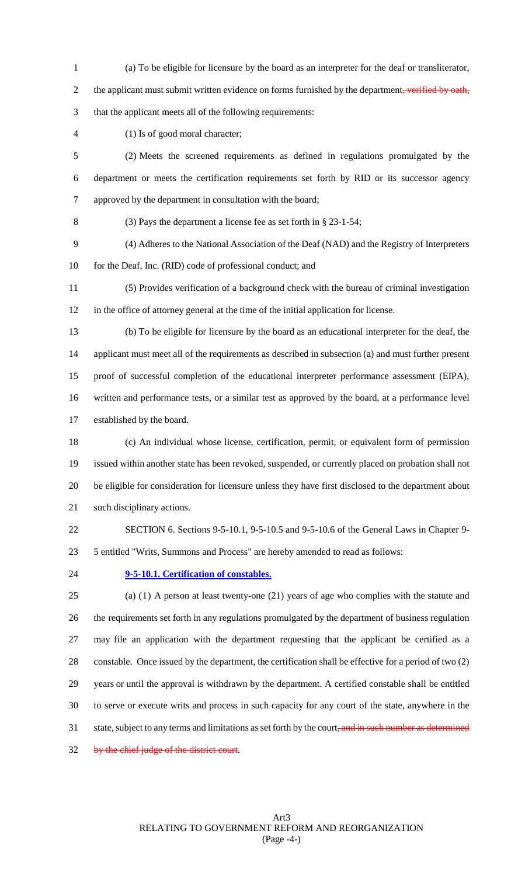- (a) To be eligible for licensure by the board as an interpreter for the deaf or transliterator, 2 the applicant must submit written evidence on forms furnished by the department, verified by oath, that the applicant meets all of the following requirements:
- (1) Is of good moral character;

 (2) Meets the screened requirements as defined in regulations promulgated by the department or meets the certification requirements set forth by RID or its successor agency approved by the department in consultation with the board;

(3) Pays the department a license fee as set forth in § 23-1-54;

 (4) Adheres to the National Association of the Deaf (NAD) and the Registry of Interpreters 10 for the Deaf, Inc. (RID) code of professional conduct; and

 (5) Provides verification of a background check with the bureau of criminal investigation in the office of attorney general at the time of the initial application for license.

 (b) To be eligible for licensure by the board as an educational interpreter for the deaf, the applicant must meet all of the requirements as described in subsection (a) and must further present proof of successful completion of the educational interpreter performance assessment (EIPA), written and performance tests, or a similar test as approved by the board, at a performance level established by the board.

 (c) An individual whose license, certification, permit, or equivalent form of permission issued within another state has been revoked, suspended, or currently placed on probation shall not be eligible for consideration for licensure unless they have first disclosed to the department about such disciplinary actions.

SECTION 6. Sections 9-5-10.1, 9-5-10.5 and 9-5-10.6 of the General Laws in Chapter 9-

5 entitled "Writs, Summons and Process" are hereby amended to read as follows:

#### **9-5-10.1. Certification of constables.**

 (a) (1) A person at least twenty-one (21) years of age who complies with the statute and the requirements set forth in any regulations promulgated by the department of business regulation may file an application with the department requesting that the applicant be certified as a constable. Once issued by the department, the certification shall be effective for a period of two (2) years or until the approval is withdrawn by the department. A certified constable shall be entitled to serve or execute writs and process in such capacity for any court of the state, anywhere in the 31 state, subject to any terms and limitations as set forth by the court, and in such number as determined by the chief judge of the district court.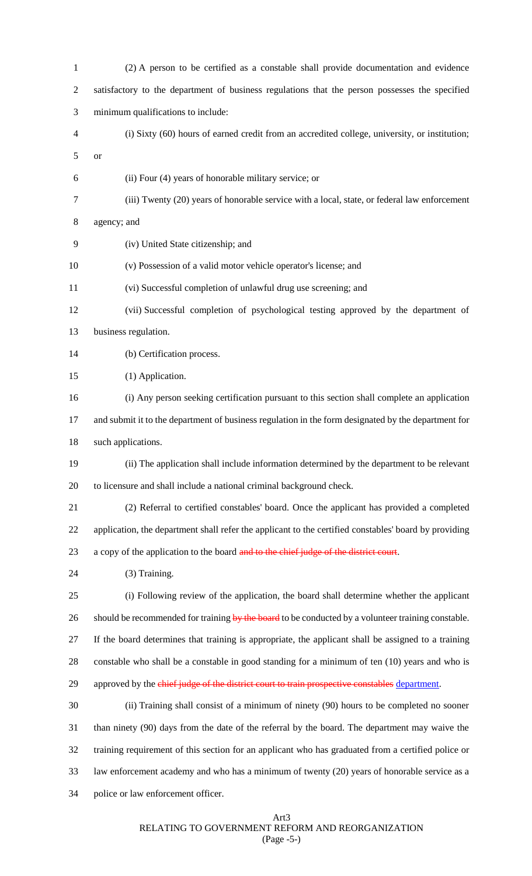| $\mathbf{1}$ | (2) A person to be certified as a constable shall provide documentation and evidence                  |
|--------------|-------------------------------------------------------------------------------------------------------|
| 2            | satisfactory to the department of business regulations that the person possesses the specified        |
| 3            | minimum qualifications to include:                                                                    |
| 4            | (i) Sixty (60) hours of earned credit from an accredited college, university, or institution;         |
| 5            | <b>or</b>                                                                                             |
| 6            | (ii) Four (4) years of honorable military service; or                                                 |
| 7            | (iii) Twenty (20) years of honorable service with a local, state, or federal law enforcement          |
| 8            | agency; and                                                                                           |
| 9            | (iv) United State citizenship; and                                                                    |
| 10           | (v) Possession of a valid motor vehicle operator's license; and                                       |
| 11           | (vi) Successful completion of unlawful drug use screening; and                                        |
| 12           | (vii) Successful completion of psychological testing approved by the department of                    |
| 13           | business regulation.                                                                                  |
| 14           | (b) Certification process.                                                                            |
| 15           | (1) Application.                                                                                      |
| 16           | (i) Any person seeking certification pursuant to this section shall complete an application           |
| 17           | and submit it to the department of business regulation in the form designated by the department for   |
| 18           | such applications.                                                                                    |
| 19           | (ii) The application shall include information determined by the department to be relevant            |
| 20           | to licensure and shall include a national criminal background check.                                  |
| 21           | (2) Referral to certified constables' board. Once the applicant has provided a completed              |
| 22           | application, the department shall refer the applicant to the certified constables' board by providing |
| 23           | a copy of the application to the board and to the chief judge of the district court.                  |
| 24           | (3) Training.                                                                                         |
| 25           | (i) Following review of the application, the board shall determine whether the applicant              |
| 26           | should be recommended for training by the board to be conducted by a volunteer training constable.    |
| 27           | If the board determines that training is appropriate, the applicant shall be assigned to a training   |
| 28           | constable who shall be a constable in good standing for a minimum of ten (10) years and who is        |
| 29           | approved by the chief judge of the district court to train prospective constables department.         |
| 30           | (ii) Training shall consist of a minimum of ninety (90) hours to be completed no sooner               |
| 31           | than ninety (90) days from the date of the referral by the board. The department may waive the        |
| 32           | training requirement of this section for an applicant who has graduated from a certified police or    |
| 33           | law enforcement academy and who has a minimum of twenty (20) years of honorable service as a          |
| 34           | police or law enforcement officer.                                                                    |

# Art3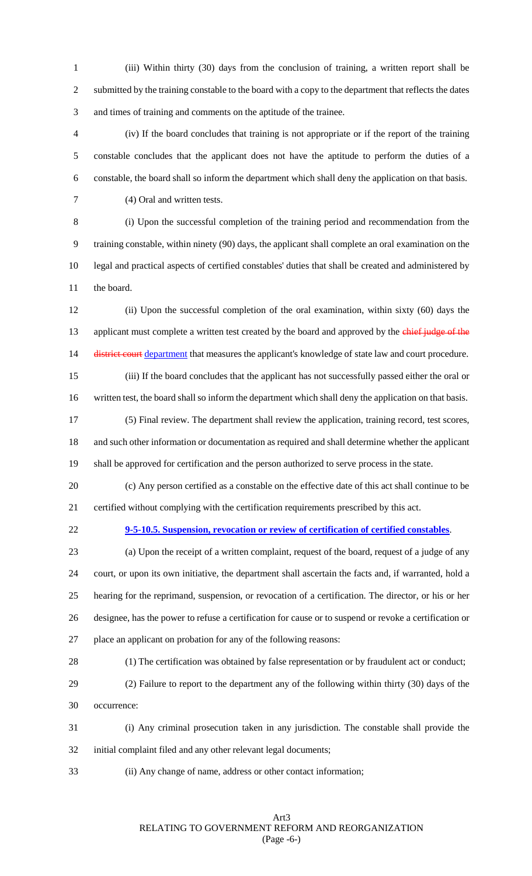(iii) Within thirty (30) days from the conclusion of training, a written report shall be submitted by the training constable to the board with a copy to the department that reflects the dates and times of training and comments on the aptitude of the trainee.

 (iv) If the board concludes that training is not appropriate or if the report of the training constable concludes that the applicant does not have the aptitude to perform the duties of a constable, the board shall so inform the department which shall deny the application on that basis.

(4) Oral and written tests.

 (i) Upon the successful completion of the training period and recommendation from the training constable, within ninety (90) days, the applicant shall complete an oral examination on the legal and practical aspects of certified constables' duties that shall be created and administered by

the board.

 (ii) Upon the successful completion of the oral examination, within sixty (60) days the 13 applicant must complete a written test created by the board and approved by the chief judge of the 14 <del>district court</del> department that measures the applicant's knowledge of state law and court procedure.

 (iii) If the board concludes that the applicant has not successfully passed either the oral or 16 written test, the board shall so inform the department which shall deny the application on that basis.

 (5) Final review. The department shall review the application, training record, test scores, and such other information or documentation as required and shall determine whether the applicant shall be approved for certification and the person authorized to serve process in the state.

 (c) Any person certified as a constable on the effective date of this act shall continue to be certified without complying with the certification requirements prescribed by this act.

**9-5-10.5. Suspension, revocation or review of certification of certified constables**.

 (a) Upon the receipt of a written complaint, request of the board, request of a judge of any court, or upon its own initiative, the department shall ascertain the facts and, if warranted, hold a hearing for the reprimand, suspension, or revocation of a certification. The director, or his or her designee, has the power to refuse a certification for cause or to suspend or revoke a certification or place an applicant on probation for any of the following reasons:

(1) The certification was obtained by false representation or by fraudulent act or conduct;

 (2) Failure to report to the department any of the following within thirty (30) days of the occurrence:

 (i) Any criminal prosecution taken in any jurisdiction. The constable shall provide the initial complaint filed and any other relevant legal documents;

(ii) Any change of name, address or other contact information;

#### Art3 RELATING TO GOVERNMENT REFORM AND REORGANIZATION (Page -6-)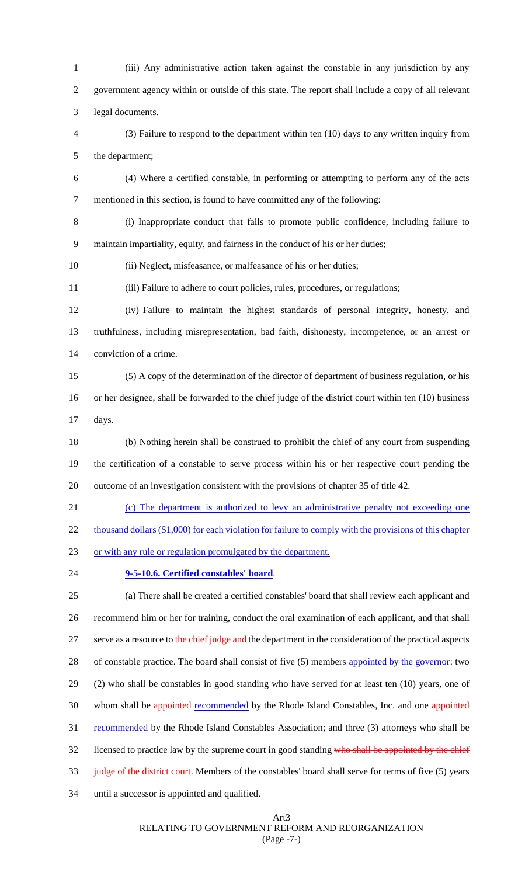(iii) Any administrative action taken against the constable in any jurisdiction by any government agency within or outside of this state. The report shall include a copy of all relevant legal documents. (3) Failure to respond to the department within ten (10) days to any written inquiry from the department; (4) Where a certified constable, in performing or attempting to perform any of the acts mentioned in this section, is found to have committed any of the following: (i) Inappropriate conduct that fails to promote public confidence, including failure to maintain impartiality, equity, and fairness in the conduct of his or her duties; (ii) Neglect, misfeasance, or malfeasance of his or her duties; (iii) Failure to adhere to court policies, rules, procedures, or regulations; (iv) Failure to maintain the highest standards of personal integrity, honesty, and truthfulness, including misrepresentation, bad faith, dishonesty, incompetence, or an arrest or conviction of a crime. (5) A copy of the determination of the director of department of business regulation, or his or her designee, shall be forwarded to the chief judge of the district court within ten (10) business days. (b) Nothing herein shall be construed to prohibit the chief of any court from suspending the certification of a constable to serve process within his or her respective court pending the outcome of an investigation consistent with the provisions of chapter 35 of title 42. (c) The department is authorized to levy an administrative penalty not exceeding one 22 thousand dollars (\$1,000) for each violation for failure to comply with the provisions of this chapter or with any rule or regulation promulgated by the department. **9-5-10.6. Certified constables' board**. (a) There shall be created a certified constables' board that shall review each applicant and recommend him or her for training, conduct the oral examination of each applicant, and that shall 27 serve as a resource to the chief judge and the department in the consideration of the practical aspects 28 of constable practice. The board shall consist of five (5) members appointed by the governor: two (2) who shall be constables in good standing who have served for at least ten (10) years, one of 30 whom shall be appointed recommended by the Rhode Island Constables, Inc. and one appointed recommended by the Rhode Island Constables Association; and three (3) attorneys who shall be 32 licensed to practice law by the supreme court in good standing who shall be appointed by the chief

33 judge of the district court. Members of the constables' board shall serve for terms of five (5) years

until a successor is appointed and qualified.

Art3

RELATING TO GOVERNMENT REFORM AND REORGANIZATION

## (Page -7-)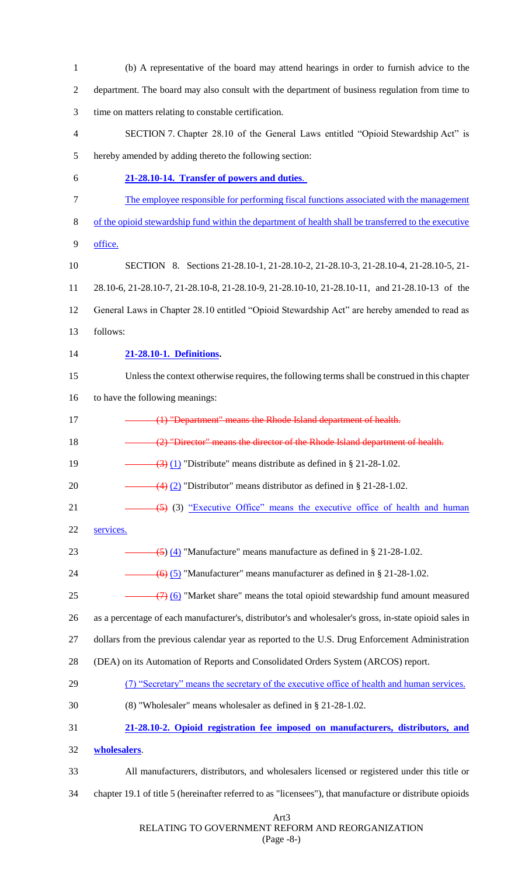| $\mathbf{1}$   | (b) A representative of the board may attend hearings in order to furnish advice to the                  |
|----------------|----------------------------------------------------------------------------------------------------------|
| $\overline{2}$ | department. The board may also consult with the department of business regulation from time to           |
| 3              | time on matters relating to constable certification.                                                     |
| $\overline{4}$ | SECTION 7. Chapter 28.10 of the General Laws entitled "Opioid Stewardship Act" is                        |
| 5              | hereby amended by adding thereto the following section:                                                  |
| 6              | 21-28.10-14. Transfer of powers and duties.                                                              |
| 7              | The employee responsible for performing fiscal functions associated with the management                  |
| 8              | of the opioid stewardship fund within the department of health shall be transferred to the executive     |
| 9              | office.                                                                                                  |
| 10             | SECTION 8. Sections 21-28.10-1, 21-28.10-2, 21-28.10-3, 21-28.10-4, 21-28.10-5, 21-                      |
| 11             | 28.10-6, 21-28.10-7, 21-28.10-8, 21-28.10-9, 21-28.10-10, 21-28.10-11, and 21-28.10-13 of the            |
| 12             | General Laws in Chapter 28.10 entitled "Opioid Stewardship Act" are hereby amended to read as            |
| 13             | follows:                                                                                                 |
| 14             | 21-28.10-1. Definitions.                                                                                 |
| 15             | Unless the context otherwise requires, the following terms shall be construed in this chapter            |
| 16             | to have the following meanings:                                                                          |
| 17             | (1) "Department" means the Rhode Island department of health.                                            |
| 18             | (2) "Director" means the director of the Rhode Island department of health.                              |
| 19             | $\left(\frac{3}{2}\right)$ (1) "Distribute" means distribute as defined in § 21-28-1.02.                 |
| 20             | $\left(4\right)$ (2) "Distributor" means distributor as defined in § 21-28-1.02.                         |
| 21             | $\left(5\right)$ (3) "Executive Office" means the executive office of health and human                   |
| 22             | services.                                                                                                |
| 23             | $\left( \frac{5}{2} \right)$ (4) "Manufacture" means manufacture as defined in § 21-28-1.02.             |
| 24             | $\overline{(6)}$ (5) "Manufacturer" means manufacturer as defined in § 21-28-1.02.                       |
| 25             | $\left(\frac{7}{2}\right)$ (6) "Market share" means the total opioid stewardship fund amount measured    |
| 26             | as a percentage of each manufacturer's, distributor's and wholesaler's gross, in-state opioid sales in   |
| 27             | dollars from the previous calendar year as reported to the U.S. Drug Enforcement Administration          |
| 28             | (DEA) on its Automation of Reports and Consolidated Orders System (ARCOS) report.                        |
| 29             | (7) "Secretary" means the secretary of the executive office of health and human services.                |
| 30             | (8) "Wholesaler" means wholesaler as defined in § 21-28-1.02.                                            |
| 31             | 21-28.10-2. Opioid registration fee imposed on manufacturers, distributors, and                          |
| 32             | wholesalers.                                                                                             |
| 33             | All manufacturers, distributors, and wholesalers licensed or registered under this title or              |
| 34             | chapter 19.1 of title 5 (hereinafter referred to as "licensees"), that manufacture or distribute opioids |
|                | Art3                                                                                                     |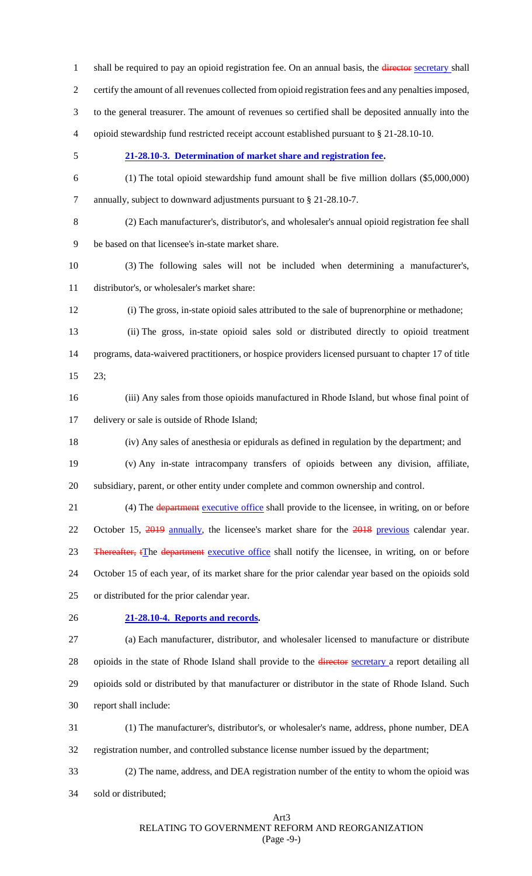certify the amount of all revenues collected from opioid registration fees and any penalties imposed, to the general treasurer. The amount of revenues so certified shall be deposited annually into the opioid stewardship fund restricted receipt account established pursuant to § 21-28.10-10. **21-28.10-3. Determination of market share and registration fee.** (1) The total opioid stewardship fund amount shall be five million dollars (\$5,000,000) annually, subject to downward adjustments pursuant to § 21-28.10-7. (2) Each manufacturer's, distributor's, and wholesaler's annual opioid registration fee shall be based on that licensee's in-state market share. (3) The following sales will not be included when determining a manufacturer's, distributor's, or wholesaler's market share: (i) The gross, in-state opioid sales attributed to the sale of buprenorphine or methadone; (ii) The gross, in-state opioid sales sold or distributed directly to opioid treatment programs, data-waivered practitioners, or hospice providers licensed pursuant to chapter 17 of title 23; (iii) Any sales from those opioids manufactured in Rhode Island, but whose final point of delivery or sale is outside of Rhode Island; (iv) Any sales of anesthesia or epidurals as defined in regulation by the department; and (v) Any in-state intracompany transfers of opioids between any division, affiliate, subsidiary, parent, or other entity under complete and common ownership and control. 21 (4) The department executive office shall provide to the licensee, in writing, on or before 22 October 15, 2019 annually, the licensee's market share for the 2018 previous calendar year. 23 Thereafter, tThe department executive office shall notify the licensee, in writing, on or before October 15 of each year, of its market share for the prior calendar year based on the opioids sold or distributed for the prior calendar year. **21-28.10-4. Reports and records.** (a) Each manufacturer, distributor, and wholesaler licensed to manufacture or distribute 28 opioids in the state of Rhode Island shall provide to the director secretary a report detailing all opioids sold or distributed by that manufacturer or distributor in the state of Rhode Island. Such report shall include: (1) The manufacturer's, distributor's, or wholesaler's name, address, phone number, DEA registration number, and controlled substance license number issued by the department; (2) The name, address, and DEA registration number of the entity to whom the opioid was

1 shall be required to pay an opioid registration fee. On an annual basis, the *director secretary* shall

sold or distributed;

Art3 RELATING TO GOVERNMENT REFORM AND REORGANIZATION (Page -9-)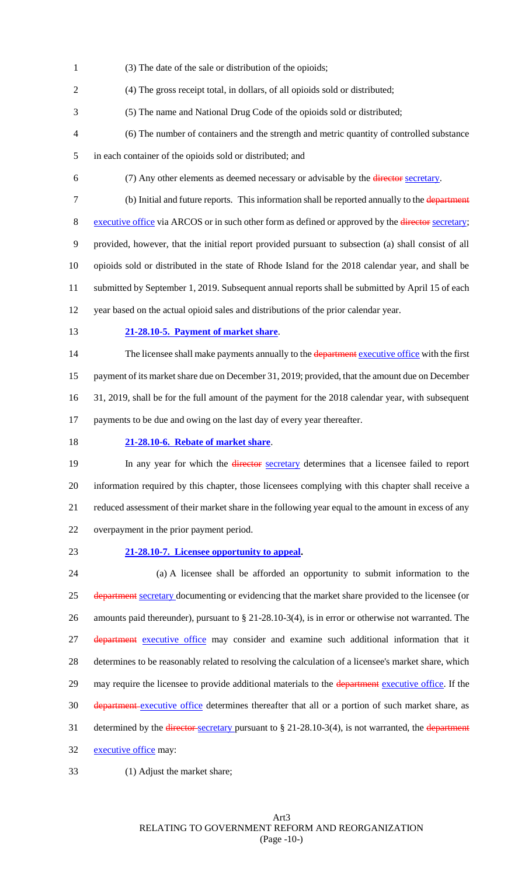(3) The date of the sale or distribution of the opioids;

(4) The gross receipt total, in dollars, of all opioids sold or distributed;

- (5) The name and National Drug Code of the opioids sold or distributed;
- (6) The number of containers and the strength and metric quantity of controlled substance
- in each container of the opioids sold or distributed; and
- 
- (7) Any other elements as deemed necessary or advisable by the director secretary.
- 7 (b) Initial and future reports. This information shall be reported annually to the department 8 executive office via ARCOS or in such other form as defined or approved by the <del>director</del> secretary; provided, however, that the initial report provided pursuant to subsection (a) shall consist of all opioids sold or distributed in the state of Rhode Island for the 2018 calendar year, and shall be submitted by September 1, 2019. Subsequent annual reports shall be submitted by April 15 of each
- year based on the actual opioid sales and distributions of the prior calendar year.
- 

#### **21-28.10-5. Payment of market share**.

14 The licensee shall make payments annually to the department executive office with the first payment of its market share due on December 31, 2019; provided, that the amount due on December 31, 2019, shall be for the full amount of the payment for the 2018 calendar year, with subsequent 17 payments to be due and owing on the last day of every year thereafter.

- 
- **21-28.10-6. Rebate of market share**.

19 In any year for which the *director* secretary determines that a licensee failed to report information required by this chapter, those licensees complying with this chapter shall receive a reduced assessment of their market share in the following year equal to the amount in excess of any overpayment in the prior payment period.

#### **21-28.10-7. Licensee opportunity to appeal.**

 (a) A licensee shall be afforded an opportunity to submit information to the 25 department secretary documenting or evidencing that the market share provided to the licensee (or amounts paid thereunder), pursuant to § 21-28.10-3(4), is in error or otherwise not warranted. The 27 department executive office may consider and examine such additional information that it determines to be reasonably related to resolving the calculation of a licensee's market share, which 29 may require the licensee to provide additional materials to the department executive office. If the 30 department executive office determines thereafter that all or a portion of such market share, as 31 determined by the director secretary pursuant to § 21-28.10-3(4), is not warranted, the department 32 executive office may:

(1) Adjust the market share;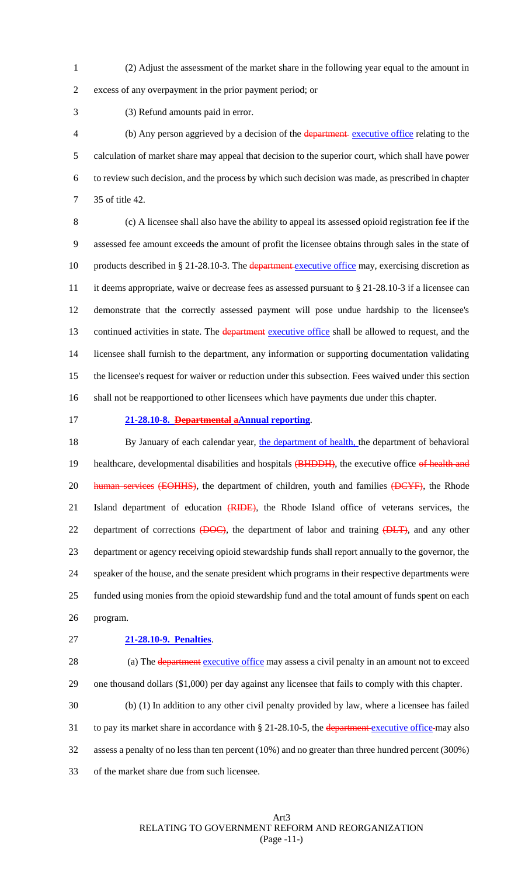(2) Adjust the assessment of the market share in the following year equal to the amount in

excess of any overpayment in the prior payment period; or

(3) Refund amounts paid in error.

 (b) Any person aggrieved by a decision of the department executive office relating to the calculation of market share may appeal that decision to the superior court, which shall have power to review such decision, and the process by which such decision was made, as prescribed in chapter 35 of title 42.

 (c) A licensee shall also have the ability to appeal its assessed opioid registration fee if the assessed fee amount exceeds the amount of profit the licensee obtains through sales in the state of 10 products described in § 21-28.10-3. The department executive office may, exercising discretion as it deems appropriate, waive or decrease fees as assessed pursuant to § 21-28.10-3 if a licensee can demonstrate that the correctly assessed payment will pose undue hardship to the licensee's 13 continued activities in state. The department executive office shall be allowed to request, and the licensee shall furnish to the department, any information or supporting documentation validating the licensee's request for waiver or reduction under this subsection. Fees waived under this section shall not be reapportioned to other licensees which have payments due under this chapter.

#### **21-28.10-8. Departmental aAnnual reporting**.

18 By January of each calendar year, the department of health, the department of behavioral 19 healthcare, developmental disabilities and hospitals (BHDDH), the executive office of health and 20 human services (EOHHS), the department of children, youth and families (DCYF), the Rhode 21 Island department of education (RIDE), the Rhode Island office of veterans services, the 22 department of corrections (DOC), the department of labor and training (DLT), and any other department or agency receiving opioid stewardship funds shall report annually to the governor, the speaker of the house, and the senate president which programs in their respective departments were funded using monies from the opioid stewardship fund and the total amount of funds spent on each program.

#### **21-28.10-9. Penalties**.

28 (a) The department executive office may assess a civil penalty in an amount not to exceed one thousand dollars (\$1,000) per day against any licensee that fails to comply with this chapter.

 (b) (1) In addition to any other civil penalty provided by law, where a licensee has failed 31 to pay its market share in accordance with § 21-28.10-5, the department executive office-may also assess a penalty of no less than ten percent (10%) and no greater than three hundred percent (300%) of the market share due from such licensee.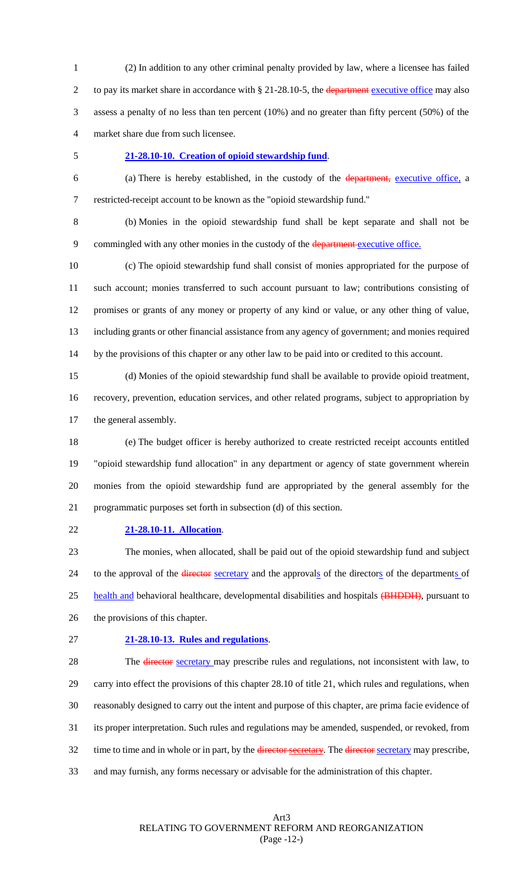(2) In addition to any other criminal penalty provided by law, where a licensee has failed 2 to pay its market share in accordance with § 21-28.10-5, the department executive office may also assess a penalty of no less than ten percent (10%) and no greater than fifty percent (50%) of the market share due from such licensee.

#### **21-28.10-10. Creation of opioid stewardship fund**.

 (a) There is hereby established, in the custody of the department, executive office, a restricted-receipt account to be known as the "opioid stewardship fund."

 (b) Monies in the opioid stewardship fund shall be kept separate and shall not be 9 commingled with any other monies in the custody of the department executive office.

 (c) The opioid stewardship fund shall consist of monies appropriated for the purpose of such account; monies transferred to such account pursuant to law; contributions consisting of promises or grants of any money or property of any kind or value, or any other thing of value, including grants or other financial assistance from any agency of government; and monies required by the provisions of this chapter or any other law to be paid into or credited to this account.

 (d) Monies of the opioid stewardship fund shall be available to provide opioid treatment, recovery, prevention, education services, and other related programs, subject to appropriation by the general assembly.

 (e) The budget officer is hereby authorized to create restricted receipt accounts entitled "opioid stewardship fund allocation" in any department or agency of state government wherein monies from the opioid stewardship fund are appropriated by the general assembly for the programmatic purposes set forth in subsection (d) of this section.

**21-28.10-11. Allocation**.

 The monies, when allocated, shall be paid out of the opioid stewardship fund and subject 24 to the approval of the director secretary and the approvals of the directors of the departments of 25 health and behavioral healthcare, developmental disabilities and hospitals (BHDDH), pursuant to the provisions of this chapter.

**21-28.10-13. Rules and regulations**.

28 The director secretary may prescribe rules and regulations, not inconsistent with law, to carry into effect the provisions of this chapter 28.10 of title 21, which rules and regulations, when reasonably designed to carry out the intent and purpose of this chapter, are prima facie evidence of its proper interpretation. Such rules and regulations may be amended, suspended, or revoked, from 32 time to time and in whole or in part, by the director secretary. The director secretary may prescribe, and may furnish, any forms necessary or advisable for the administration of this chapter.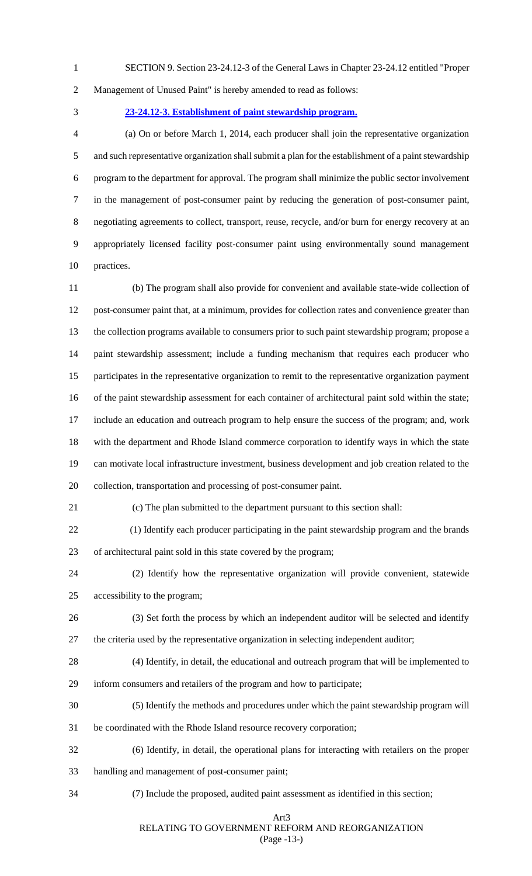- SECTION 9. Section 23-24.12-3 of the General Laws in Chapter 23-24.12 entitled "Proper
- 

Management of Unused Paint" is hereby amended to read as follows:

**23-24.12-3. Establishment of paint stewardship program.**

 (a) On or before March 1, 2014, each producer shall join the representative organization and such representative organization shall submit a plan for the establishment of a paint stewardship program to the department for approval. The program shall minimize the public sector involvement in the management of post-consumer paint by reducing the generation of post-consumer paint, negotiating agreements to collect, transport, reuse, recycle, and/or burn for energy recovery at an appropriately licensed facility post-consumer paint using environmentally sound management practices.

11 (b) The program shall also provide for convenient and available state-wide collection of post-consumer paint that, at a minimum, provides for collection rates and convenience greater than the collection programs available to consumers prior to such paint stewardship program; propose a paint stewardship assessment; include a funding mechanism that requires each producer who participates in the representative organization to remit to the representative organization payment of the paint stewardship assessment for each container of architectural paint sold within the state; include an education and outreach program to help ensure the success of the program; and, work with the department and Rhode Island commerce corporation to identify ways in which the state can motivate local infrastructure investment, business development and job creation related to the collection, transportation and processing of post-consumer paint.

21 (c) The plan submitted to the department pursuant to this section shall:

 (1) Identify each producer participating in the paint stewardship program and the brands of architectural paint sold in this state covered by the program;

24 (2) Identify how the representative organization will provide convenient, statewide accessibility to the program;

- 26 (3) Set forth the process by which an independent auditor will be selected and identify the criteria used by the representative organization in selecting independent auditor;
- 28 (4) Identify, in detail, the educational and outreach program that will be implemented to

inform consumers and retailers of the program and how to participate;

- 30 (5) Identify the methods and procedures under which the paint stewardship program will
- be coordinated with the Rhode Island resource recovery corporation;
- 32 (6) Identify, in detail, the operational plans for interacting with retailers on the proper
- handling and management of post-consumer paint;
- 34 (7) Include the proposed, audited paint assessment as identified in this section;

#### Art3

RELATING TO GOVERNMENT REFORM AND REORGANIZATION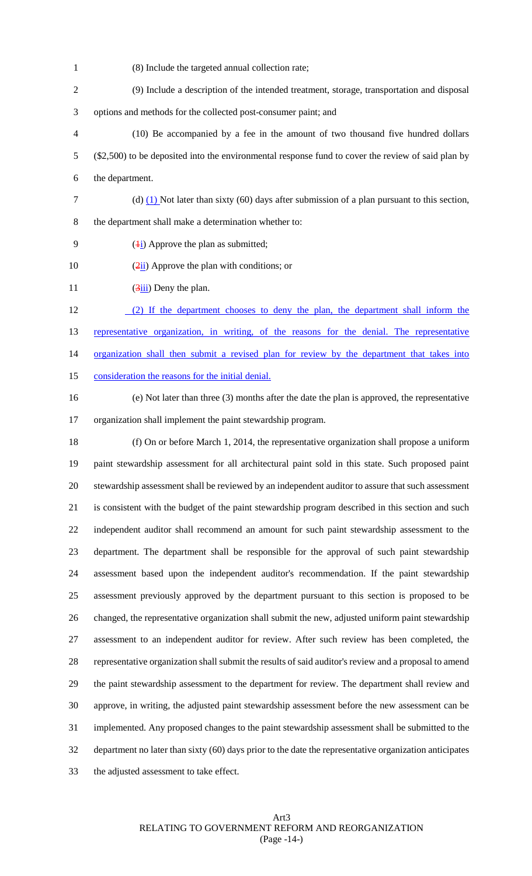- 1 (8) Include the targeted annual collection rate;
- 2 (9) Include a description of the intended treatment, storage, transportation and disposal 3 options and methods for the collected post-consumer paint; and
- 4 (10) Be accompanied by a fee in the amount of two thousand five hundred dollars 5 (\$2,500) to be deposited into the environmental response fund to cover the review of said plan by 6 the department.
- 7 (d)  $(1)$  Not later than sixty (60) days after submission of a plan pursuant to this section, 8 the department shall make a determination whether to:
- 9  $(4i)$  Approve the plan as submitted;
- 10  $(\frac{2\pi}{1})$  Approve the plan with conditions; or
- 11  $\frac{3\text{iii}}{9\text{cm}}$  Deny the plan.
- 12 (2) If the department chooses to deny the plan, the department shall inform the 13 representative organization, in writing, of the reasons for the denial. The representative 14 organization shall then submit a revised plan for review by the department that takes into 15 consideration the reasons for the initial denial.
- 
- 16 (e) Not later than three (3) months after the date the plan is approved, the representative 17 organization shall implement the paint stewardship program.

18 (f) On or before March 1, 2014, the representative organization shall propose a uniform paint stewardship assessment for all architectural paint sold in this state. Such proposed paint stewardship assessment shall be reviewed by an independent auditor to assure that such assessment is consistent with the budget of the paint stewardship program described in this section and such independent auditor shall recommend an amount for such paint stewardship assessment to the department. The department shall be responsible for the approval of such paint stewardship assessment based upon the independent auditor's recommendation. If the paint stewardship assessment previously approved by the department pursuant to this section is proposed to be changed, the representative organization shall submit the new, adjusted uniform paint stewardship assessment to an independent auditor for review. After such review has been completed, the representative organization shall submit the results of said auditor's review and a proposal to amend the paint stewardship assessment to the department for review. The department shall review and approve, in writing, the adjusted paint stewardship assessment before the new assessment can be implemented. Any proposed changes to the paint stewardship assessment shall be submitted to the department no later than sixty (60) days prior to the date the representative organization anticipates the adjusted assessment to take effect.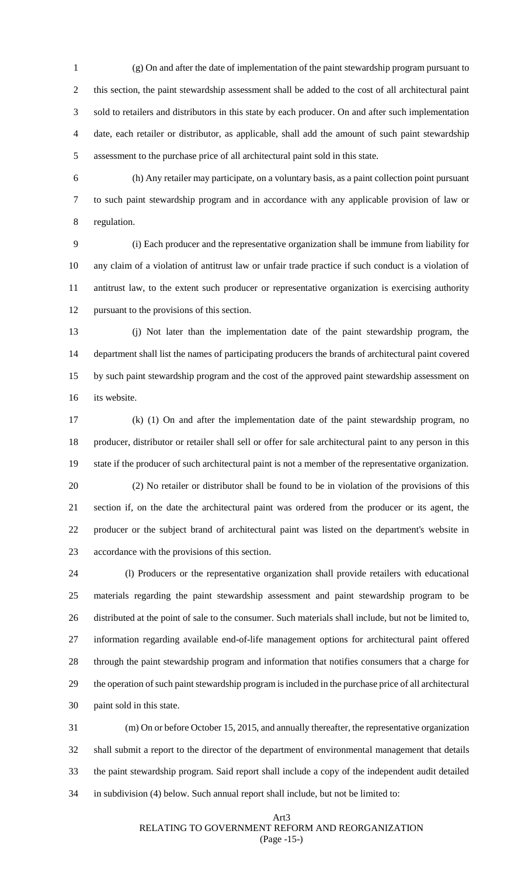1 (g) On and after the date of implementation of the paint stewardship program pursuant to this section, the paint stewardship assessment shall be added to the cost of all architectural paint sold to retailers and distributors in this state by each producer. On and after such implementation date, each retailer or distributor, as applicable, shall add the amount of such paint stewardship assessment to the purchase price of all architectural paint sold in this state.

6 (h) Any retailer may participate, on a voluntary basis, as a paint collection point pursuant to such paint stewardship program and in accordance with any applicable provision of law or regulation.

9 (i) Each producer and the representative organization shall be immune from liability for any claim of a violation of antitrust law or unfair trade practice if such conduct is a violation of antitrust law, to the extent such producer or representative organization is exercising authority pursuant to the provisions of this section.

13 (j) Not later than the implementation date of the paint stewardship program, the department shall list the names of participating producers the brands of architectural paint covered by such paint stewardship program and the cost of the approved paint stewardship assessment on its website.

17 (k) (1) On and after the implementation date of the paint stewardship program, no producer, distributor or retailer shall sell or offer for sale architectural paint to any person in this state if the producer of such architectural paint is not a member of the representative organization.

20 (2) No retailer or distributor shall be found to be in violation of the provisions of this section if, on the date the architectural paint was ordered from the producer or its agent, the producer or the subject brand of architectural paint was listed on the department's website in accordance with the provisions of this section.

 (l) Producers or the representative organization shall provide retailers with educational materials regarding the paint stewardship assessment and paint stewardship program to be distributed at the point of sale to the consumer. Such materials shall include, but not be limited to, information regarding available end-of-life management options for architectural paint offered through the paint stewardship program and information that notifies consumers that a charge for the operation of such paint stewardship program is included in the purchase price of all architectural paint sold in this state.

 (m) On or before October 15, 2015, and annually thereafter, the representative organization shall submit a report to the director of the department of environmental management that details the paint stewardship program. Said report shall include a copy of the independent audit detailed in subdivision (4) below. Such annual report shall include, but not be limited to:

#### Art3 RELATING TO GOVERNMENT REFORM AND REORGANIZATION (Page -15-)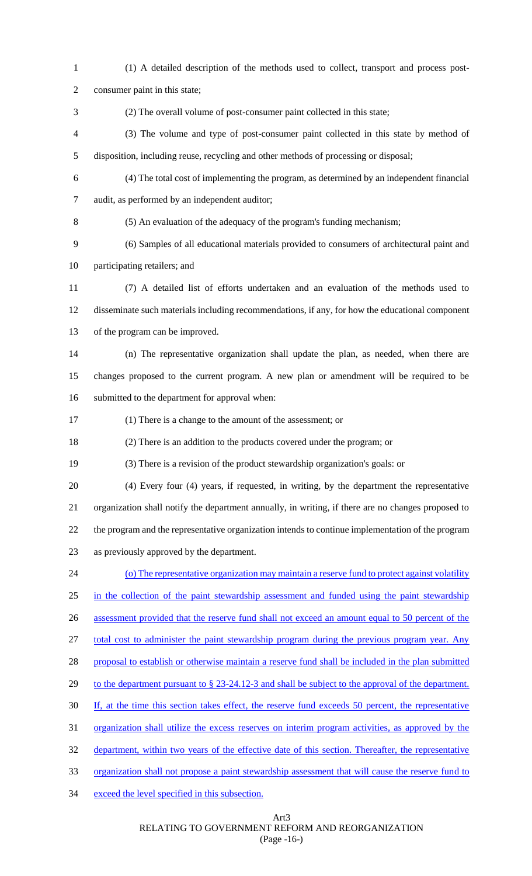(1) A detailed description of the methods used to collect, transport and process post- consumer paint in this state; (2) The overall volume of post-consumer paint collected in this state; (3) The volume and type of post-consumer paint collected in this state by method of disposition, including reuse, recycling and other methods of processing or disposal; (4) The total cost of implementing the program, as determined by an independent financial audit, as performed by an independent auditor; (5) An evaluation of the adequacy of the program's funding mechanism; (6) Samples of all educational materials provided to consumers of architectural paint and participating retailers; and (7) A detailed list of efforts undertaken and an evaluation of the methods used to disseminate such materials including recommendations, if any, for how the educational component of the program can be improved. (n) The representative organization shall update the plan, as needed, when there are changes proposed to the current program. A new plan or amendment will be required to be submitted to the department for approval when: (1) There is a change to the amount of the assessment; or (2) There is an addition to the products covered under the program; or (3) There is a revision of the product stewardship organization's goals: or (4) Every four (4) years, if requested, in writing, by the department the representative organization shall notify the department annually, in writing, if there are no changes proposed to the program and the representative organization intends to continue implementation of the program as previously approved by the department. (o) The representative organization may maintain a reserve fund to protect against volatility in the collection of the paint stewardship assessment and funded using the paint stewardship 26 assessment provided that the reserve fund shall not exceed an amount equal to 50 percent of the total cost to administer the paint stewardship program during the previous program year. Any 28 proposal to establish or otherwise maintain a reserve fund shall be included in the plan submitted 29 to the department pursuant to § 23-24.12-3 and shall be subject to the approval of the department. If, at the time this section takes effect, the reserve fund exceeds 50 percent, the representative organization shall utilize the excess reserves on interim program activities, as approved by the 32 department, within two years of the effective date of this section. Thereafter, the representative organization shall not propose a paint stewardship assessment that will cause the reserve fund to exceed the level specified in this subsection.

Art3

RELATING TO GOVERNMENT REFORM AND REORGANIZATION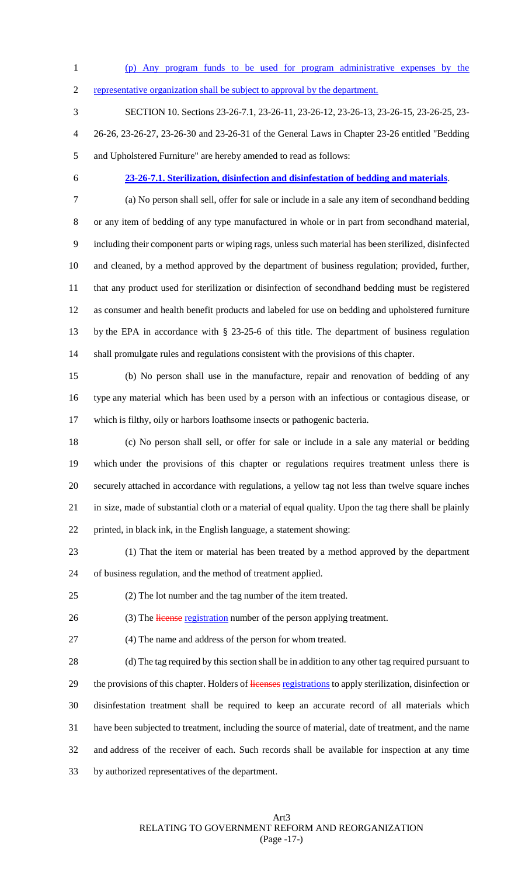- (p) Any program funds to be used for program administrative expenses by the
- representative organization shall be subject to approval by the department.
- SECTION 10. Sections 23-26-7.1, 23-26-11, 23-26-12, 23-26-13, 23-26-15, 23-26-25, 23- 26-26, 23-26-27, 23-26-30 and 23-26-31 of the General Laws in Chapter 23-26 entitled "Bedding and Upholstered Furniture" are hereby amended to read as follows:
- 

#### **23-26-7.1. Sterilization, disinfection and disinfestation of bedding and materials**.

 (a) No person shall sell, offer for sale or include in a sale any item of secondhand bedding or any item of bedding of any type manufactured in whole or in part from secondhand material, including their component parts or wiping rags, unless such material has been sterilized, disinfected and cleaned, by a method approved by the department of business regulation; provided, further, that any product used for sterilization or disinfection of secondhand bedding must be registered as consumer and health benefit products and labeled for use on bedding and upholstered furniture by the EPA in accordance with § 23-25-6 of this title. The department of business regulation shall promulgate rules and regulations consistent with the provisions of this chapter.

 (b) No person shall use in the manufacture, repair and renovation of bedding of any type any material which has been used by a person with an infectious or contagious disease, or which is filthy, oily or harbors loathsome insects or pathogenic bacteria.

- (c) No person shall sell, or offer for sale or include in a sale any material or bedding which under the provisions of this chapter or regulations requires treatment unless there is securely attached in accordance with regulations, a yellow tag not less than twelve square inches in size, made of substantial cloth or a material of equal quality. Upon the tag there shall be plainly printed, in black ink, in the English language, a statement showing:
- (1) That the item or material has been treated by a method approved by the department of business regulation, and the method of treatment applied.
- (2) The lot number and the tag number of the item treated.

26 (3) The license registration number of the person applying treatment.

(4) The name and address of the person for whom treated.

 (d) The tag required by this section shall be in addition to any other tag required pursuant to 29 the provisions of this chapter. Holders of licenses registrations to apply sterilization, disinfection or disinfestation treatment shall be required to keep an accurate record of all materials which have been subjected to treatment, including the source of material, date of treatment, and the name and address of the receiver of each. Such records shall be available for inspection at any time by authorized representatives of the department.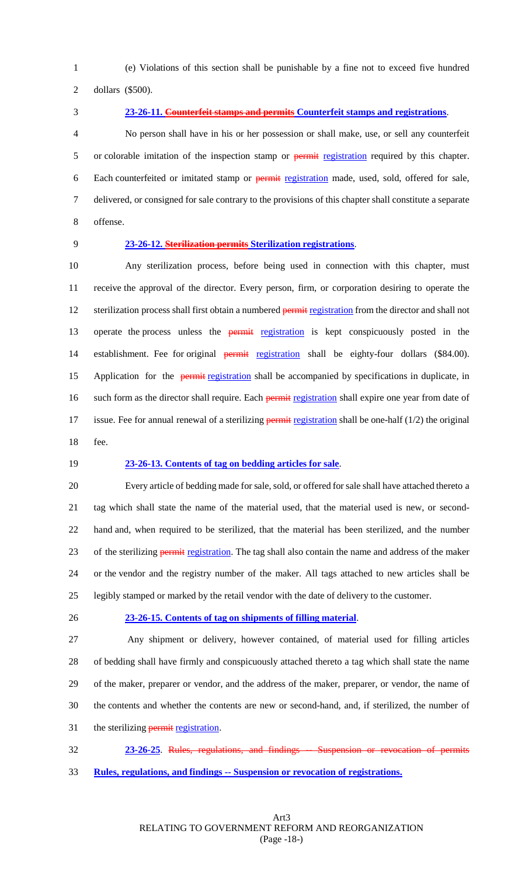(e) Violations of this section shall be punishable by a fine not to exceed five hundred

dollars (\$500).

 **23-26-11. Counterfeit stamps and permits Counterfeit stamps and registrations**. No person shall have in his or her possession or shall make, use, or sell any counterfeit 5 or colorable imitation of the inspection stamp or **permit registration** required by this chapter. Each counterfeited or imitated stamp or permit registration made, used, sold, offered for sale, delivered, or consigned for sale contrary to the provisions of this chapter shall constitute a separate offense.

#### **23-26-12. Sterilization permits Sterilization registrations**.

 Any sterilization process, before being used in connection with this chapter, must receive the approval of the director. Every person, firm, or corporation desiring to operate the 12 sterilization process shall first obtain a numbered permit registration from the director and shall not 13 operate the process unless the permit registration is kept conspicuously posted in the 14 establishment. Fee for original permit registration shall be eighty-four dollars (\$84.00). 15 Application for the permit registration shall be accompanied by specifications in duplicate, in 16 such form as the director shall require. Each permit registration shall expire one year from date of 17 issue. Fee for annual renewal of a sterilizing **permit registration** shall be one-half  $(1/2)$  the original fee.

#### **23-26-13. Contents of tag on bedding articles for sale**.

 Every article of bedding made for sale, sold, or offered for sale shall have attached thereto a tag which shall state the name of the material used, that the material used is new, or second- hand and, when required to be sterilized, that the material has been sterilized, and the number 23 of the sterilizing permit registration. The tag shall also contain the name and address of the maker or the vendor and the registry number of the maker. All tags attached to new articles shall be legibly stamped or marked by the retail vendor with the date of delivery to the customer.

#### **23-26-15. Contents of tag on shipments of filling material**.

 Any shipment or delivery, however contained, of material used for filling articles of bedding shall have firmly and conspicuously attached thereto a tag which shall state the name of the maker, preparer or vendor, and the address of the maker, preparer, or vendor, the name of the contents and whether the contents are new or second-hand, and, if sterilized, the number of 31 the sterilizing permit registration.

 **23-26-25**. Rules, regulations, and findings -- Suspension or revocation of permits **Rules, regulations, and findings -- Suspension or revocation of registrations.**

> Art3 RELATING TO GOVERNMENT REFORM AND REORGANIZATION (Page -18-)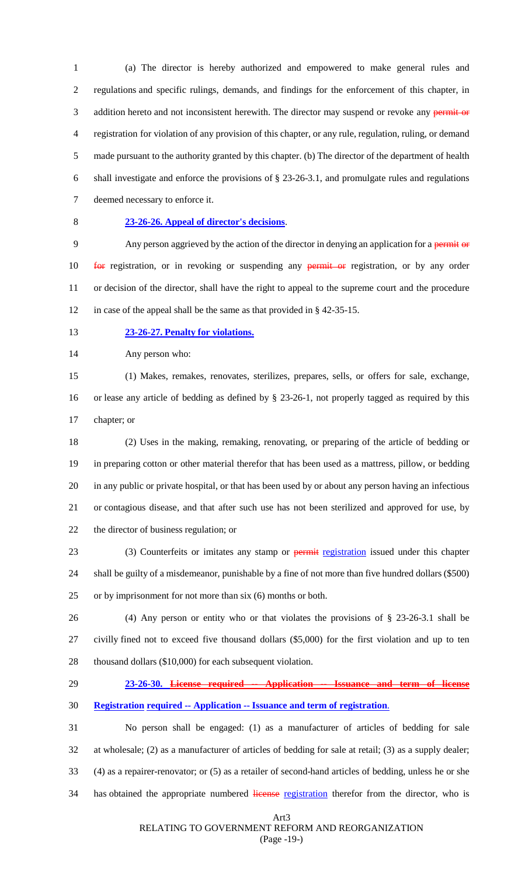(a) The director is hereby authorized and empowered to make general rules and regulations and specific rulings, demands, and findings for the enforcement of this chapter, in 3 addition hereto and not inconsistent herewith. The director may suspend or revoke any permit or registration for violation of any provision of this chapter, or any rule, regulation, ruling, or demand made pursuant to the authority granted by this chapter. (b) The director of the department of health shall investigate and enforce the provisions of § 23-26-3.1, and promulgate rules and regulations deemed necessary to enforce it.

### **23-26-26. Appeal of director's decisions**.

9 Any person aggrieved by the action of the director in denying an application for a permit or **for** registration, or in revoking or suspending any permit or registration, or by any order or decision of the director, shall have the right to appeal to the supreme court and the procedure in case of the appeal shall be the same as that provided in § 42-35-15.

#### **23-26-27. Penalty for violations.**

Any person who:

 (1) Makes, remakes, renovates, sterilizes, prepares, sells, or offers for sale, exchange, or lease any article of bedding as defined by § 23-26-1, not properly tagged as required by this chapter; or

 (2) Uses in the making, remaking, renovating, or preparing of the article of bedding or in preparing cotton or other material therefor that has been used as a mattress, pillow, or bedding in any public or private hospital, or that has been used by or about any person having an infectious or contagious disease, and that after such use has not been sterilized and approved for use, by the director of business regulation; or

23 (3) Counterfeits or imitates any stamp or permit registration issued under this chapter shall be guilty of a misdemeanor, punishable by a fine of not more than five hundred dollars (\$500) or by imprisonment for not more than six (6) months or both.

 (4) Any person or entity who or that violates the provisions of § 23-26-3.1 shall be civilly fined not to exceed five thousand dollars (\$5,000) for the first violation and up to ten 28 thousand dollars (\$10,000) for each subsequent violation.

#### **23-26-30. License required -- Application -- Issuance and term of license**

#### **Registration required -- Application -- Issuance and term of registration**.

 No person shall be engaged: (1) as a manufacturer of articles of bedding for sale at wholesale; (2) as a manufacturer of articles of bedding for sale at retail; (3) as a supply dealer; (4) as a repairer-renovator; or (5) as a retailer of second-hand articles of bedding, unless he or she 34 has obtained the appropriate numbered license registration therefor from the director, who is

Art3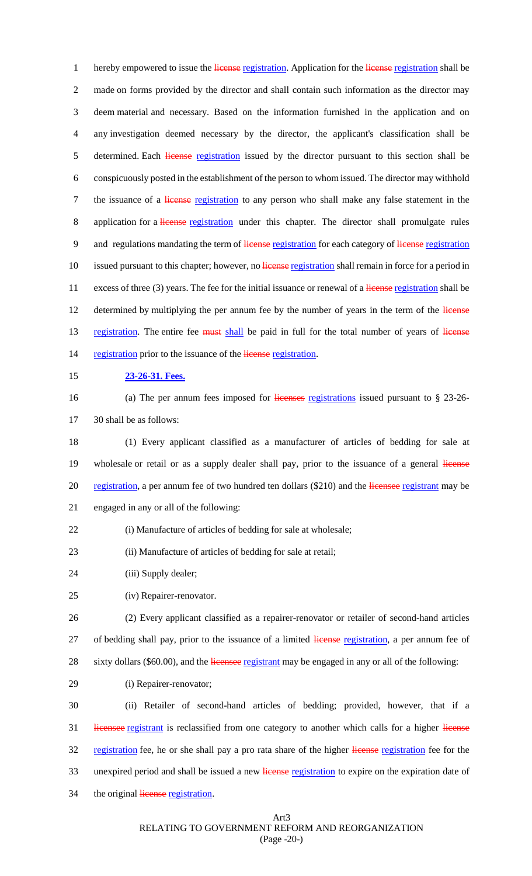1 hereby empowered to issue the license registration. Application for the license registration shall be 2 made on forms provided by the director and shall contain such information as the director may 3 deem material and necessary. Based on the information furnished in the application and on 4 any investigation deemed necessary by the director, the applicant's classification shall be 5 determined. Each *license* registration issued by the director pursuant to this section shall be 6 conspicuously posted in the establishment of the person to whom issued. The director may withhold 7 the issuance of a *license* registration to any person who shall make any false statement in the 8 application for a *license registration* under this chapter. The director shall promulgate rules 9 and regulations mandating the term of license registration for each category of license registration 10 issued pursuant to this chapter; however, no license registration shall remain in force for a period in 11 excess of three (3) years. The fee for the initial issuance or renewal of a license registration shall be 12 determined by multiplying the per annum fee by the number of years in the term of the license 13 registration. The entire fee must shall be paid in full for the total number of years of license 14 registration prior to the issuance of the license registration.

- 15 **23-26-31. Fees.**
- 

16 (a) The per annum fees imposed for licenses registrations issued pursuant to § 23-26-17 30 shall be as follows:

18 (1) Every applicant classified as a manufacturer of articles of bedding for sale at 19 wholesale or retail or as a supply dealer shall pay, prior to the issuance of a general license 20 registration, a per annum fee of two hundred ten dollars (\$210) and the licensee registrant may be 21 engaged in any or all of the following:

- 22 (i) Manufacture of articles of bedding for sale at wholesale;
- 23 (ii) Manufacture of articles of bedding for sale at retail;
- 24 (iii) Supply dealer;
- 25 (iv) Repairer-renovator.
- 26 (2) Every applicant classified as a repairer-renovator or retailer of second-hand articles 27 of bedding shall pay, prior to the issuance of a limited license registration, a per annum fee of 28 sixty dollars (\$60.00), and the licensee registrant may be engaged in any or all of the following:
- 29 (i) Repairer-renovator;

30 (ii) Retailer of second-hand articles of bedding; provided, however, that if a 31 licensee registrant is reclassified from one category to another which calls for a higher license 32 registration fee, he or she shall pay a pro rata share of the higher license registration fee for the 33 unexpired period and shall be issued a new license registration to expire on the expiration date of 34 the original license registration.

Art3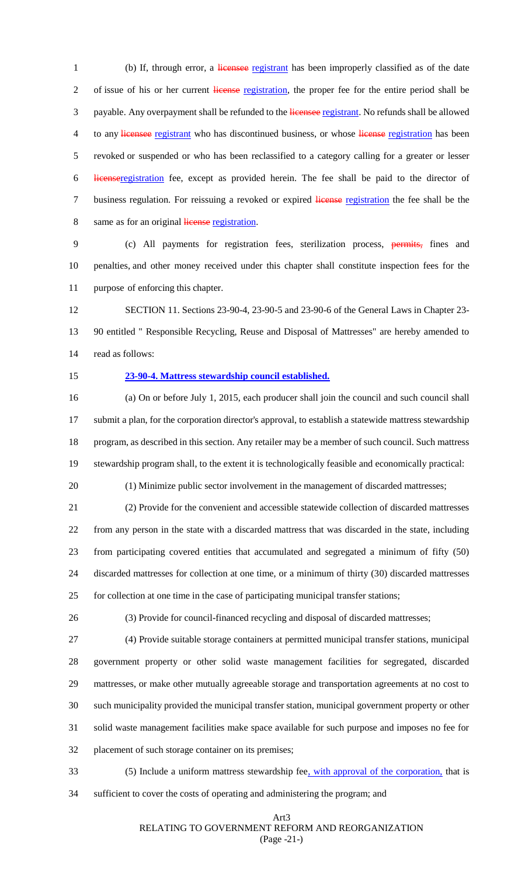1 (b) If, through error, a licensee registrant has been improperly classified as of the date 2 of issue of his or her current license registration, the proper fee for the entire period shall be 3 payable. Any overpayment shall be refunded to the licensee registrant. No refunds shall be allowed 4 to any licensee registrant who has discontinued business, or whose license registration has been revoked or suspended or who has been reclassified to a category calling for a greater or lesser licenseregistration fee, except as provided herein. The fee shall be paid to the director of 7 business regulation. For reissuing a revoked or expired license registration the fee shall be the 8 same as for an original license registration.

 (c) All payments for registration fees, sterilization process, permits, fines and penalties, and other money received under this chapter shall constitute inspection fees for the purpose of enforcing this chapter.

 SECTION 11. Sections 23-90-4, 23-90-5 and 23-90-6 of the General Laws in Chapter 23- 90 entitled " Responsible Recycling, Reuse and Disposal of Mattresses" are hereby amended to read as follows:

#### **23-90-4. Mattress stewardship council established.**

 (a) On or before July 1, 2015, each producer shall join the council and such council shall submit a plan, for the corporation director's approval, to establish a statewide mattress stewardship program, as described in this section. Any retailer may be a member of such council. Such mattress stewardship program shall, to the extent it is technologically feasible and economically practical:

(1) Minimize public sector involvement in the management of discarded mattresses;

 (2) Provide for the convenient and accessible statewide collection of discarded mattresses from any person in the state with a discarded mattress that was discarded in the state, including from participating covered entities that accumulated and segregated a minimum of fifty (50) discarded mattresses for collection at one time, or a minimum of thirty (30) discarded mattresses for collection at one time in the case of participating municipal transfer stations;

(3) Provide for council-financed recycling and disposal of discarded mattresses;

 (4) Provide suitable storage containers at permitted municipal transfer stations, municipal government property or other solid waste management facilities for segregated, discarded mattresses, or make other mutually agreeable storage and transportation agreements at no cost to such municipality provided the municipal transfer station, municipal government property or other solid waste management facilities make space available for such purpose and imposes no fee for placement of such storage container on its premises;

- 33 (5) Include a uniform mattress stewardship fee, with approval of the corporation, that is
- sufficient to cover the costs of operating and administering the program; and

#### Art3 RELATING TO GOVERNMENT REFORM AND REORGANIZATION (Page -21-)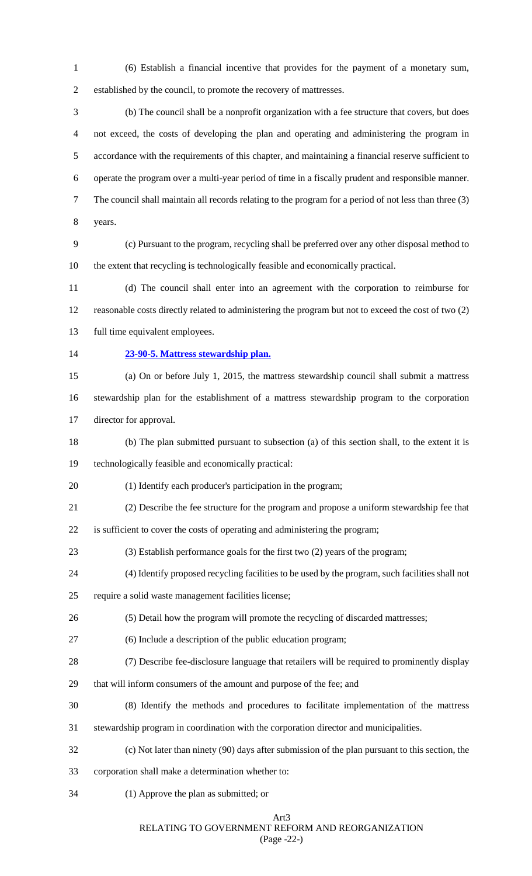(6) Establish a financial incentive that provides for the payment of a monetary sum, established by the council, to promote the recovery of mattresses.

 (b) The council shall be a nonprofit organization with a fee structure that covers, but does not exceed, the costs of developing the plan and operating and administering the program in accordance with the requirements of this chapter, and maintaining a financial reserve sufficient to operate the program over a multi-year period of time in a fiscally prudent and responsible manner. The council shall maintain all records relating to the program for a period of not less than three (3) years.

 (c) Pursuant to the program, recycling shall be preferred over any other disposal method to the extent that recycling is technologically feasible and economically practical.

 (d) The council shall enter into an agreement with the corporation to reimburse for reasonable costs directly related to administering the program but not to exceed the cost of two (2) full time equivalent employees.

# **23-90-5. Mattress stewardship plan.**

 (a) On or before July 1, 2015, the mattress stewardship council shall submit a mattress stewardship plan for the establishment of a mattress stewardship program to the corporation director for approval.

(b) The plan submitted pursuant to subsection (a) of this section shall, to the extent it is

technologically feasible and economically practical:

(1) Identify each producer's participation in the program;

(2) Describe the fee structure for the program and propose a uniform stewardship fee that

is sufficient to cover the costs of operating and administering the program;

- (3) Establish performance goals for the first two (2) years of the program;
- (4) Identify proposed recycling facilities to be used by the program, such facilities shall not
- require a solid waste management facilities license;
- (5) Detail how the program will promote the recycling of discarded mattresses;
- (6) Include a description of the public education program;
- (7) Describe fee-disclosure language that retailers will be required to prominently display

that will inform consumers of the amount and purpose of the fee; and

- (8) Identify the methods and procedures to facilitate implementation of the mattress
- stewardship program in coordination with the corporation director and municipalities.
- (c) Not later than ninety (90) days after submission of the plan pursuant to this section, the
- corporation shall make a determination whether to:
- (1) Approve the plan as submitted; or

## Art3

RELATING TO GOVERNMENT REFORM AND REORGANIZATION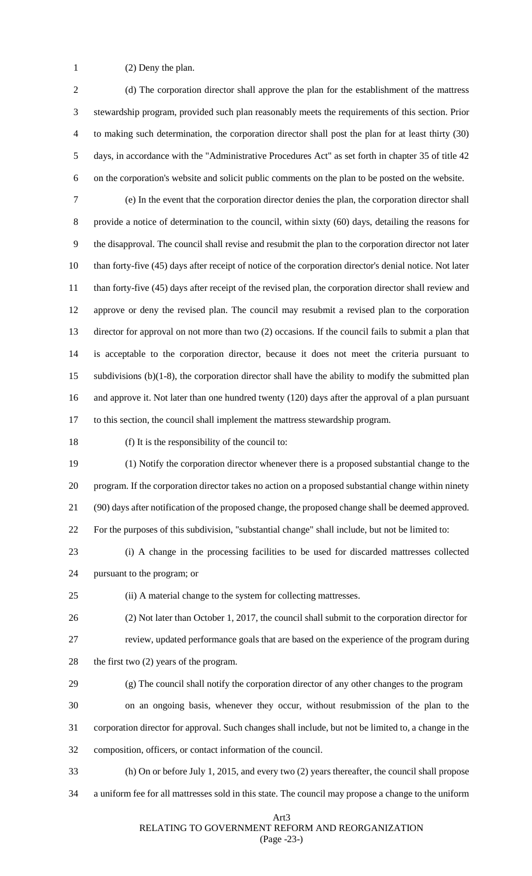(2) Deny the plan.

 (d) The corporation director shall approve the plan for the establishment of the mattress stewardship program, provided such plan reasonably meets the requirements of this section. Prior to making such determination, the corporation director shall post the plan for at least thirty (30) days, in accordance with the "Administrative Procedures Act" as set forth in chapter 35 of title 42 on the corporation's website and solicit public comments on the plan to be posted on the website. (e) In the event that the corporation director denies the plan, the corporation director shall provide a notice of determination to the council, within sixty (60) days, detailing the reasons for the disapproval. The council shall revise and resubmit the plan to the corporation director not later than forty-five (45) days after receipt of notice of the corporation director's denial notice. Not later 11 than forty-five (45) days after receipt of the revised plan, the corporation director shall review and approve or deny the revised plan. The council may resubmit a revised plan to the corporation director for approval on not more than two (2) occasions. If the council fails to submit a plan that is acceptable to the corporation director, because it does not meet the criteria pursuant to subdivisions (b)(1-8), the corporation director shall have the ability to modify the submitted plan and approve it. Not later than one hundred twenty (120) days after the approval of a plan pursuant to this section, the council shall implement the mattress stewardship program. (f) It is the responsibility of the council to: (1) Notify the corporation director whenever there is a proposed substantial change to the program. If the corporation director takes no action on a proposed substantial change within ninety (90) days after notification of the proposed change, the proposed change shall be deemed approved. For the purposes of this subdivision, "substantial change" shall include, but not be limited to:

 (i) A change in the processing facilities to be used for discarded mattresses collected pursuant to the program; or

(ii) A material change to the system for collecting mattresses.

 (2) Not later than October 1, 2017, the council shall submit to the corporation director for review, updated performance goals that are based on the experience of the program during

the first two (2) years of the program.

(g) The council shall notify the corporation director of any other changes to the program

on an ongoing basis, whenever they occur, without resubmission of the plan to the

corporation director for approval. Such changes shall include, but not be limited to, a change in the

composition, officers, or contact information of the council.

(h) On or before July 1, 2015, and every two (2) years thereafter, the council shall propose

a uniform fee for all mattresses sold in this state. The council may propose a change to the uniform

Art3

RELATING TO GOVERNMENT REFORM AND REORGANIZATION

(Page -23-)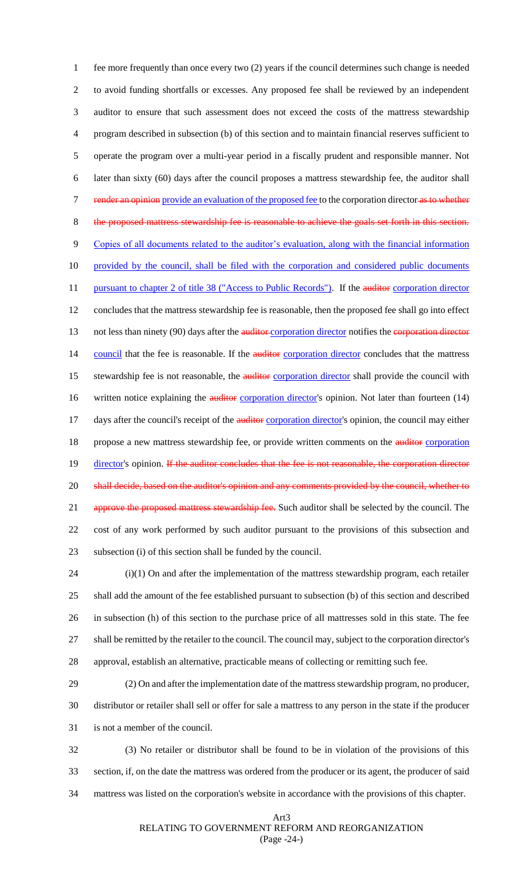1 fee more frequently than once every two (2) years if the council determines such change is needed 2 to avoid funding shortfalls or excesses. Any proposed fee shall be reviewed by an independent 3 auditor to ensure that such assessment does not exceed the costs of the mattress stewardship 4 program described in subsection (b) of this section and to maintain financial reserves sufficient to 5 operate the program over a multi-year period in a fiscally prudent and responsible manner. Not 6 later than sixty (60) days after the council proposes a mattress stewardship fee, the auditor shall 7 render an opinion provide an evaluation of the proposed fee to the corporation director as to whether 8 the proposed mattress stewardship fee is reasonable to achieve the goals set forth in this section. 9 Copies of all documents related to the auditor's evaluation, along with the financial information 10 provided by the council, shall be filed with the corporation and considered public documents 11 pursuant to chapter 2 of title 38 ("Access to Public Records"). If the auditor corporation director 12 concludes that the mattress stewardship fee is reasonable, then the proposed fee shall go into effect 13 not less than ninety (90) days after the auditor corporation director notifies the corporation director 14 council that the fee is reasonable. If the auditor corporation director concludes that the mattress 15 stewardship fee is not reasonable, the **auditor** corporation director shall provide the council with 16 written notice explaining the *auditor* corporation director's opinion. Not later than fourteen (14) 17 days after the council's receipt of the **auditor** corporation director's opinion, the council may either 18 propose a new mattress stewardship fee, or provide written comments on the **auditor** corporation 19 director's opinion. If the auditor concludes that the fee is not reasonable, the corporation director 20 shall decide, based on the auditor's opinion and any comments provided by the council, whether to 21 approve the proposed mattress stewardship fee. Such auditor shall be selected by the council. The 22 cost of any work performed by such auditor pursuant to the provisions of this subsection and 23 subsection (i) of this section shall be funded by the council.

 (i)(1) On and after the implementation of the mattress stewardship program, each retailer shall add the amount of the fee established pursuant to subsection (b) of this section and described in subsection (h) of this section to the purchase price of all mattresses sold in this state. The fee shall be remitted by the retailer to the council. The council may, subject to the corporation director's approval, establish an alternative, practicable means of collecting or remitting such fee.

29 (2) On and after the implementation date of the mattress stewardship program, no producer, 30 distributor or retailer shall sell or offer for sale a mattress to any person in the state if the producer 31 is not a member of the council.

32 (3) No retailer or distributor shall be found to be in violation of the provisions of this 33 section, if, on the date the mattress was ordered from the producer or its agent, the producer of said 34 mattress was listed on the corporation's website in accordance with the provisions of this chapter.

#### Art3 RELATING TO GOVERNMENT REFORM AND REORGANIZATION (Page -24-)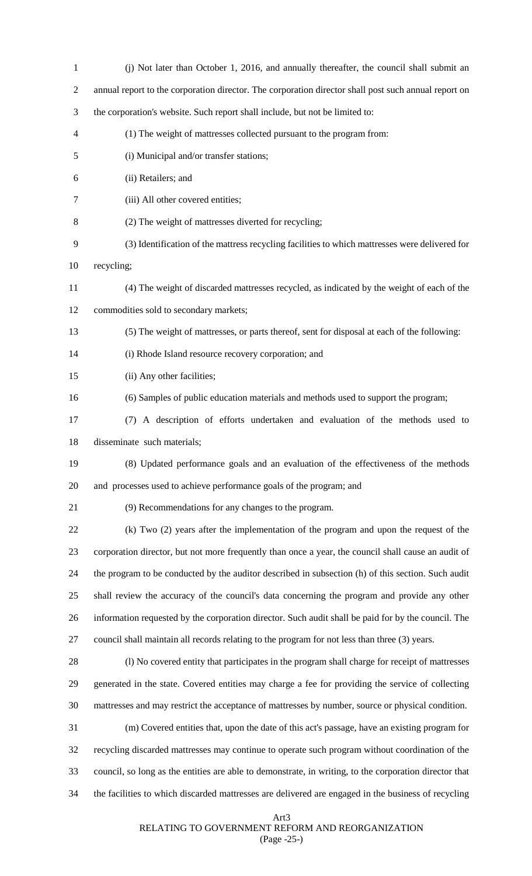| $\mathbf{1}$   | (j) Not later than October 1, 2016, and annually thereafter, the council shall submit an               |
|----------------|--------------------------------------------------------------------------------------------------------|
| $\overline{2}$ | annual report to the corporation director. The corporation director shall post such annual report on   |
| 3              | the corporation's website. Such report shall include, but not be limited to:                           |
| 4              | (1) The weight of mattresses collected pursuant to the program from:                                   |
| 5              | (i) Municipal and/or transfer stations;                                                                |
| 6              | (ii) Retailers; and                                                                                    |
| 7              | (iii) All other covered entities;                                                                      |
| 8              | (2) The weight of mattresses diverted for recycling;                                                   |
| 9              | (3) Identification of the mattress recycling facilities to which mattresses were delivered for         |
| 10             | recycling;                                                                                             |
| 11             | (4) The weight of discarded mattresses recycled, as indicated by the weight of each of the             |
| 12             | commodities sold to secondary markets;                                                                 |
| 13             | (5) The weight of mattresses, or parts thereof, sent for disposal at each of the following:            |
| 14             | (i) Rhode Island resource recovery corporation; and                                                    |
| 15             | (ii) Any other facilities;                                                                             |
| 16             | (6) Samples of public education materials and methods used to support the program;                     |
| 17             | (7) A description of efforts undertaken and evaluation of the methods used to                          |
| 18             | disseminate such materials;                                                                            |
| 19             | (8) Updated performance goals and an evaluation of the effectiveness of the methods                    |
| 20             | and processes used to achieve performance goals of the program; and                                    |
| 21             | (9) Recommendations for any changes to the program.                                                    |
| 22             | (k) Two (2) years after the implementation of the program and upon the request of the                  |
| 23             | corporation director, but not more frequently than once a year, the council shall cause an audit of    |
| 24             | the program to be conducted by the auditor described in subsection (h) of this section. Such audit     |
| 25             | shall review the accuracy of the council's data concerning the program and provide any other           |
| 26             | information requested by the corporation director. Such audit shall be paid for by the council. The    |
| 27             | council shall maintain all records relating to the program for not less than three (3) years.          |
| 28             | (l) No covered entity that participates in the program shall charge for receipt of mattresses          |
| 29             | generated in the state. Covered entities may charge a fee for providing the service of collecting      |
| 30             | mattresses and may restrict the acceptance of mattresses by number, source or physical condition.      |
| 31             | (m) Covered entities that, upon the date of this act's passage, have an existing program for           |
| 32             | recycling discarded mattresses may continue to operate such program without coordination of the        |
| 33             | council, so long as the entities are able to demonstrate, in writing, to the corporation director that |
| 34             | the facilities to which discarded mattresses are delivered are engaged in the business of recycling    |
|                |                                                                                                        |

# Art3 RELATING TO GOVERNMENT REFORM AND REORGANIZATION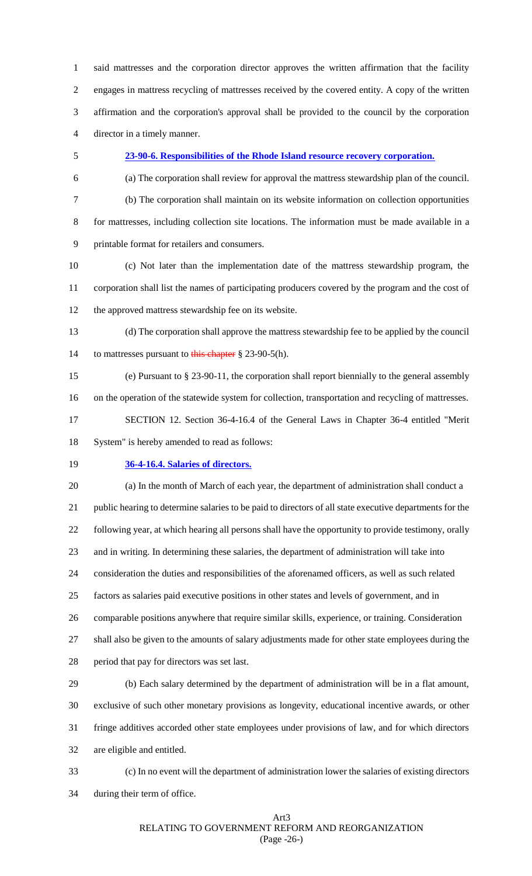said mattresses and the corporation director approves the written affirmation that the facility engages in mattress recycling of mattresses received by the covered entity. A copy of the written affirmation and the corporation's approval shall be provided to the council by the corporation director in a timely manner.

#### **23-90-6. Responsibilities of the Rhode Island resource recovery corporation.**

- 
- 
- 
- 

(a) The corporation shall review for approval the mattress stewardship plan of the council.

- 
- 

 (b) The corporation shall maintain on its website information on collection opportunities for mattresses, including collection site locations. The information must be made available in a printable format for retailers and consumers.

 (c) Not later than the implementation date of the mattress stewardship program, the corporation shall list the names of participating producers covered by the program and the cost of the approved mattress stewardship fee on its website.

 (d) The corporation shall approve the mattress stewardship fee to be applied by the council 14 to mattresses pursuant to this chapter § 23-90-5(h).

 (e) Pursuant to § 23-90-11, the corporation shall report biennially to the general assembly on the operation of the statewide system for collection, transportation and recycling of mattresses. SECTION 12. Section 36-4-16.4 of the General Laws in Chapter 36-4 entitled "Merit System" is hereby amended to read as follows:

### **36-4-16.4. Salaries of directors.**

(a) In the month of March of each year, the department of administration shall conduct a

public hearing to determine salaries to be paid to directors of all state executive departments for the

following year, at which hearing all persons shall have the opportunity to provide testimony, orally

and in writing. In determining these salaries, the department of administration will take into

consideration the duties and responsibilities of the aforenamed officers, as well as such related

factors as salaries paid executive positions in other states and levels of government, and in

comparable positions anywhere that require similar skills, experience, or training. Consideration

shall also be given to the amounts of salary adjustments made for other state employees during the

period that pay for directors was set last.

 (b) Each salary determined by the department of administration will be in a flat amount, exclusive of such other monetary provisions as longevity, educational incentive awards, or other fringe additives accorded other state employees under provisions of law, and for which directors are eligible and entitled.

 (c) In no event will the department of administration lower the salaries of existing directors during their term of office.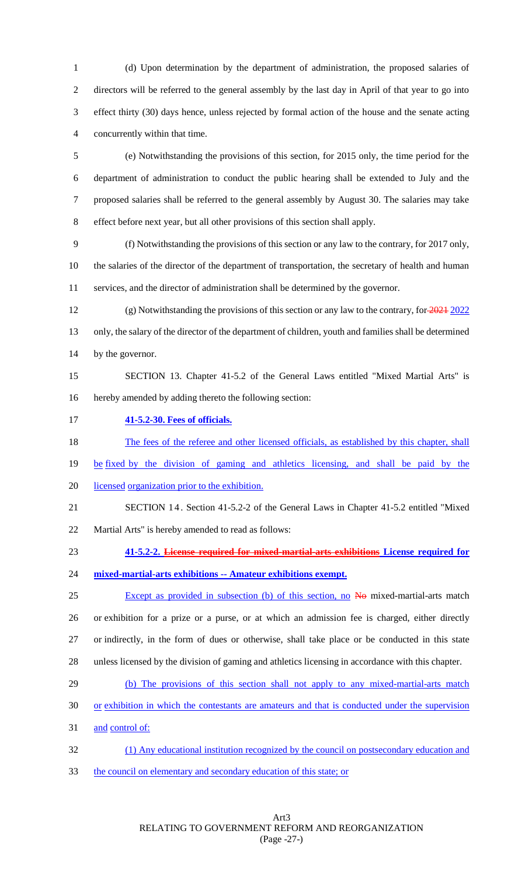(d) Upon determination by the department of administration, the proposed salaries of directors will be referred to the general assembly by the last day in April of that year to go into effect thirty (30) days hence, unless rejected by formal action of the house and the senate acting concurrently within that time.

 (e) Notwithstanding the provisions of this section, for 2015 only, the time period for the department of administration to conduct the public hearing shall be extended to July and the proposed salaries shall be referred to the general assembly by August 30. The salaries may take effect before next year, but all other provisions of this section shall apply.

 (f) Notwithstanding the provisions of this section or any law to the contrary, for 2017 only, the salaries of the director of the department of transportation, the secretary of health and human

services, and the director of administration shall be determined by the governor.

 (g) Notwithstanding the provisions of this section or any law to the contrary, for 2021 2022 only, the salary of the director of the department of children, youth and families shall be determined 14 by the governor.

 SECTION 13. Chapter 41-5.2 of the General Laws entitled "Mixed Martial Arts" is hereby amended by adding thereto the following section:

**41-5.2-30. Fees of officials.**

18 The fees of the referee and other licensed officials, as established by this chapter, shall

- 19 be fixed by the division of gaming and athletics licensing, and shall be paid by the
- licensed organization prior to the exhibition.
- SECTION 1 4 . Section 41-5.2-2 of the General Laws in Chapter 41-5.2 entitled "Mixed

Martial Arts" is hereby amended to read as follows:

- **41-5.2-2. License required for mixed-martial-arts exhibitions License required for**
- **mixed-martial-arts exhibitions -- Amateur exhibitions exempt.**

25 Except as provided in subsection (b) of this section, no No mixed-martial-arts match or exhibition for a prize or a purse, or at which an admission fee is charged, either directly or indirectly, in the form of dues or otherwise, shall take place or be conducted in this state unless licensed by the division of gaming and athletics licensing in accordance with this chapter.

- (b) The provisions of this section shall not apply to any mixed-martial-arts match
- 30 or exhibition in which the contestants are amateurs and that is conducted under the supervision

31 and control of:

- (1) Any educational institution recognized by the council on postsecondary education and
- the council on elementary and secondary education of this state; or

Art3 RELATING TO GOVERNMENT REFORM AND REORGANIZATION (Page -27-)